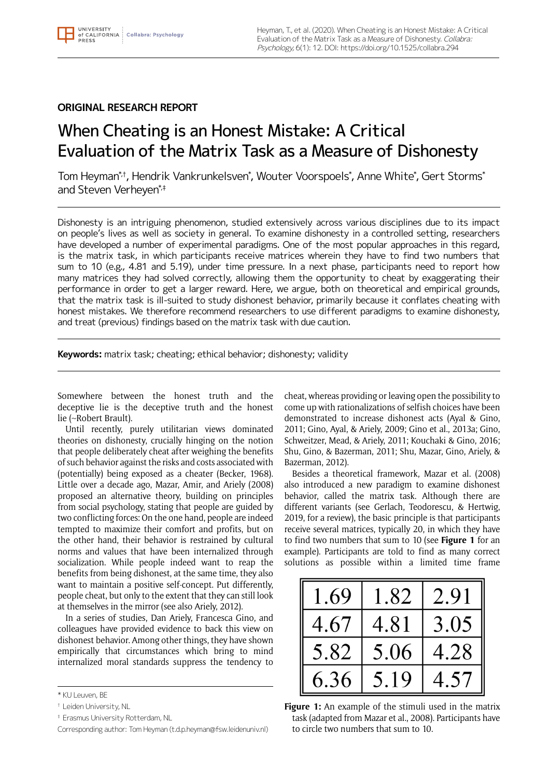# **ORIGINAL RESEARCH REPORT**

# When Cheating is an Honest Mistake: A Critical Evaluation of the Matrix Task as a Measure of Dishonesty

Tom Heyman\*†, Hendrik Vankrunkelsven\*, Wouter Voorspoels\*, Anne White\*, Gert Storms\* and Steven Verheyen\*<sup>+</sup>

Dishonesty is an intriguing phenomenon, studied extensively across various disciplines due to its impact on people's lives as well as society in general. To examine dishonesty in a controlled setting, researchers have developed a number of experimental paradigms. One of the most popular approaches in this regard, is the matrix task, in which participants receive matrices wherein they have to find two numbers that sum to 10 (e.g., 4.81 and 5.19), under time pressure. In a next phase, participants need to report how many matrices they had solved correctly, allowing them the opportunity to cheat by exaggerating their performance in order to get a larger reward. Here, we argue, both on theoretical and empirical grounds, that the matrix task is ill-suited to study dishonest behavior, primarily because it conflates cheating with honest mistakes. We therefore recommend researchers to use different paradigms to examine dishonesty, and treat (previous) findings based on the matrix task with due caution.

**Keywords:** matrix task; cheating; ethical behavior; dishonesty; validity

Somewhere between the honest truth and the deceptive lie is the deceptive truth and the honest lie (~Robert Brault).

Until recently, purely utilitarian views dominated theories on dishonesty, crucially hinging on the notion that people deliberately cheat after weighing the benefits of such behavior against the risks and costs associated with (potentially) being exposed as a cheater (Becker, 1968). Little over a decade ago, Mazar, Amir, and Ariely (2008) proposed an alternative theory, building on principles from social psychology, stating that people are guided by two conflicting forces: On the one hand, people are indeed tempted to maximize their comfort and profits, but on the other hand, their behavior is restrained by cultural norms and values that have been internalized through socialization. While people indeed want to reap the benefits from being dishonest, at the same time, they also want to maintain a positive self-concept. Put differently, people cheat, but only to the extent that they can still look at themselves in the mirror (see also Ariely, 2012).

In a series of studies, Dan Ariely, Francesca Gino, and colleagues have provided evidence to back this view on dishonest behavior. Among other things, they have shown empirically that circumstances which bring to mind internalized moral standards suppress the tendency to

cheat, whereas providing or leaving open the possibility to come up with rationalizations of selfish choices have been demonstrated to increase dishonest acts (Ayal & Gino, 2011; Gino, Ayal, & Ariely, 2009; Gino et al., 2013a; Gino, Schweitzer, Mead, & Ariely, 2011; Kouchaki & Gino, 2016; Shu, Gino, & Bazerman, 2011; Shu, Mazar, Gino, Ariely, & Bazerman, 2012).

Besides a theoretical framework, Mazar et al. (2008) also introduced a new paradigm to examine dishonest behavior, called the matrix task. Although there are different variants (see Gerlach, Teodorescu, & Hertwig, 2019, for a review), the basic principle is that participants receive several matrices, typically 20, in which they have to find two numbers that sum to 10 (see **Figure 1** for an example). Participants are told to find as many correct solutions as possible within a limited time frame

| 1.69 | 1.82 | 2.91 |
|------|------|------|
| 4.67 | 4.81 | 3.05 |
| 5.82 | 5.06 | 4.28 |
| 6.36 | 5.19 | 4 57 |

**Figure 1:** An example of the stimuli used in the matrix task (adapted from Mazar et al., 2008). Participants have to circle two numbers that sum to 10.

<sup>\*</sup> KU Leuven, BE

<sup>†</sup> Leiden University, NL

<sup>‡</sup> Erasmus University Rotterdam, NL

Corresponding author: Tom Heyman [\(t.d.p.heyman@fsw.leidenuniv.nl\)](mailto:t.d.p.heyman@fsw.leidenuniv.nl)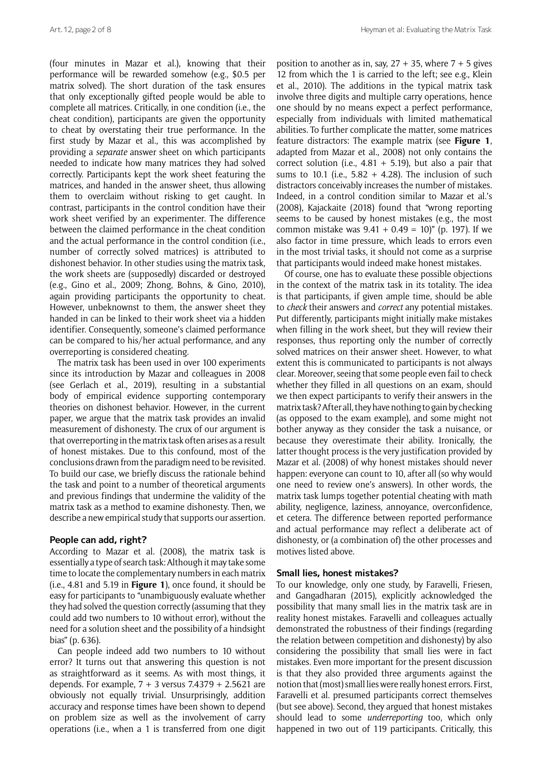(four minutes in Mazar et al.), knowing that their performance will be rewarded somehow (e.g., \$0.5 per matrix solved). The short duration of the task ensures that only exceptionally gifted people would be able to complete all matrices. Critically, in one condition (i.e., the cheat condition), participants are given the opportunity to cheat by overstating their true performance. In the first study by Mazar et al., this was accomplished by providing a *separate* answer sheet on which participants needed to indicate how many matrices they had solved correctly. Participants kept the work sheet featuring the matrices, and handed in the answer sheet, thus allowing them to overclaim without risking to get caught. In contrast, participants in the control condition have their work sheet verified by an experimenter. The difference between the claimed performance in the cheat condition and the actual performance in the control condition (i.e., number of correctly solved matrices) is attributed to dishonest behavior. In other studies using the matrix task, the work sheets are (supposedly) discarded or destroyed (e.g., Gino et al., 2009; Zhong, Bohns, & Gino, 2010), again providing participants the opportunity to cheat. However, unbeknownst to them, the answer sheet they handed in can be linked to their work sheet via a hidden identifier. Consequently, someone's claimed performance can be compared to his/her actual performance, and any overreporting is considered cheating.

The matrix task has been used in over 100 experiments since its introduction by Mazar and colleagues in 2008 (see Gerlach et al., 2019), resulting in a substantial body of empirical evidence supporting contemporary theories on dishonest behavior. However, in the current paper, we argue that the matrix task provides an invalid measurement of dishonesty. The crux of our argument is that overreporting in the matrix task often arises as a result of honest mistakes. Due to this confound, most of the conclusions drawn from the paradigm need to be revisited. To build our case, we briefly discuss the rationale behind the task and point to a number of theoretical arguments and previous findings that undermine the validity of the matrix task as a method to examine dishonesty. Then, we describe a new empirical study that supports our assertion.

#### **People can add, right?**

According to Mazar et al. (2008), the matrix task is essentially a type of search task: Although it may take some time to locate the complementary numbers in each matrix (i.e., 4.81 and 5.19 in **Figure 1**), once found, it should be easy for participants to "unambiguously evaluate whether they had solved the question correctly (assuming that they could add two numbers to 10 without error), without the need for a solution sheet and the possibility of a hindsight bias" (p. 636).

Can people indeed add two numbers to 10 without error? It turns out that answering this question is not as straightforward as it seems. As with most things, it depends. For example,  $7 + 3$  versus  $7.4379 + 2.5621$  are obviously not equally trivial. Unsurprisingly, addition accuracy and response times have been shown to depend on problem size as well as the involvement of carry operations (i.e., when a 1 is transferred from one digit

position to another as in, say,  $27 + 35$ , where  $7 + 5$  gives 12 from which the 1 is carried to the left; see e.g., Klein et al., 2010). The additions in the typical matrix task involve three digits and multiple carry operations, hence one should by no means expect a perfect performance, especially from individuals with limited mathematical abilities. To further complicate the matter, some matrices feature distractors: The example matrix (see **Figure 1**, adapted from Mazar et al., 2008) not only contains the correct solution (i.e.,  $4.81 + 5.19$ ), but also a pair that sums to 10.1 (i.e.,  $5.82 + 4.28$ ). The inclusion of such distractors conceivably increases the number of mistakes. Indeed, in a control condition similar to Mazar et al.'s (2008), Kajackaite (2018) found that "wrong reporting seems to be caused by honest mistakes (e.g., the most common mistake was  $9.41 + 0.49 = 10$ " (p. 197). If we also factor in time pressure, which leads to errors even in the most trivial tasks, it should not come as a surprise that participants would indeed make honest mistakes.

Of course, one has to evaluate these possible objections in the context of the matrix task in its totality. The idea is that participants, if given ample time, should be able to *check* their answers and *correct* any potential mistakes. Put differently, participants might initially make mistakes when filling in the work sheet, but they will review their responses, thus reporting only the number of correctly solved matrices on their answer sheet. However, to what extent this is communicated to participants is not always clear. Moreover, seeing that some people even fail to check whether they filled in all questions on an exam, should we then expect participants to verify their answers in the matrix task? After all, they have nothing to gain by checking (as opposed to the exam example), and some might not bother anyway as they consider the task a nuisance, or because they overestimate their ability. Ironically, the latter thought process is the very justification provided by Mazar et al. (2008) of why honest mistakes should never happen: everyone can count to 10, after all (so why would one need to review one's answers). In other words, the matrix task lumps together potential cheating with math ability, negligence, laziness, annoyance, overconfidence, et cetera. The difference between reported performance and actual performance may reflect a deliberate act of dishonesty, or (a combination of) the other processes and motives listed above.

## **Small lies, honest mistakes?**

To our knowledge, only one study, by Faravelli, Friesen, and Gangadharan (2015), explicitly acknowledged the possibility that many small lies in the matrix task are in reality honest mistakes. Faravelli and colleagues actually demonstrated the robustness of their findings (regarding the relation between competition and dishonesty) by also considering the possibility that small lies were in fact mistakes. Even more important for the present discussion is that they also provided three arguments against the notion that (most) small lies were really honest errors. First, Faravelli et al. presumed participants correct themselves (but see above). Second, they argued that honest mistakes should lead to some *underreporting* too, which only happened in two out of 119 participants. Critically, this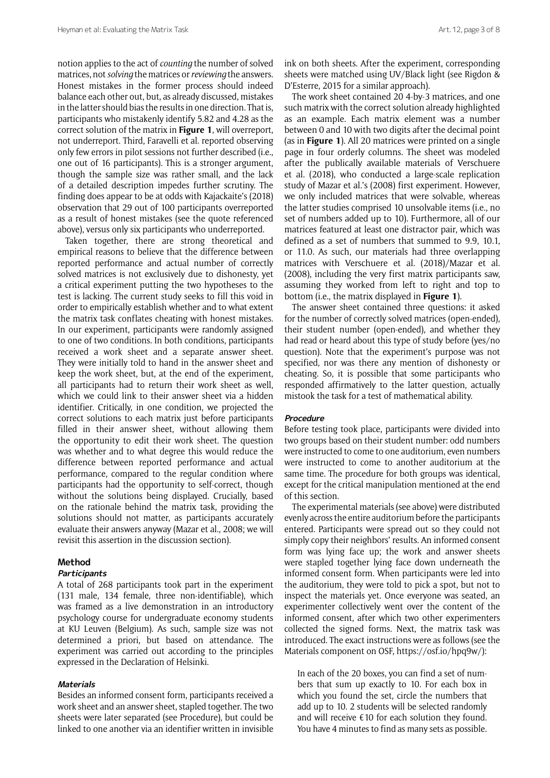notion applies to the act of *counting* the number of solved matrices, not *solving* the matrices or *reviewing* the answers. Honest mistakes in the former process should indeed balance each other out, but, as already discussed, mistakes in the latter should bias the results in one direction. That is, participants who mistakenly identify 5.82 and 4.28 as the correct solution of the matrix in **Figure 1**, will overreport, not underreport. Third, Faravelli et al. reported observing only few errors in pilot sessions not further described (i.e., one out of 16 participants). This is a stronger argument, though the sample size was rather small, and the lack of a detailed description impedes further scrutiny. The finding does appear to be at odds with Kajackaite's (2018) observation that 29 out of 100 participants overreported as a result of honest mistakes (see the quote referenced above), versus only six participants who underreported.

Taken together, there are strong theoretical and empirical reasons to believe that the difference between reported performance and actual number of correctly solved matrices is not exclusively due to dishonesty, yet a critical experiment putting the two hypotheses to the test is lacking. The current study seeks to fill this void in order to empirically establish whether and to what extent the matrix task conflates cheating with honest mistakes. In our experiment, participants were randomly assigned to one of two conditions. In both conditions, participants received a work sheet and a separate answer sheet. They were initially told to hand in the answer sheet and keep the work sheet, but, at the end of the experiment, all participants had to return their work sheet as well, which we could link to their answer sheet via a hidden identifier. Critically, in one condition, we projected the correct solutions to each matrix just before participants filled in their answer sheet, without allowing them the opportunity to edit their work sheet. The question was whether and to what degree this would reduce the difference between reported performance and actual performance, compared to the regular condition where participants had the opportunity to self-correct, though without the solutions being displayed. Crucially, based on the rationale behind the matrix task, providing the solutions should not matter, as participants accurately evaluate their answers anyway (Mazar et al., 2008; we will revisit this assertion in the discussion section).

#### **Method**

## **Participants**

A total of 268 participants took part in the experiment (131 male, 134 female, three non-identifiable), which was framed as a live demonstration in an introductory psychology course for undergraduate economy students at KU Leuven (Belgium). As such, sample size was not determined a priori, but based on attendance. The experiment was carried out according to the principles expressed in the Declaration of Helsinki.

#### **Materials**

Besides an informed consent form, participants received a work sheet and an answer sheet, stapled together. The two sheets were later separated (see Procedure), but could be linked to one another via an identifier written in invisible ink on both sheets. After the experiment, corresponding sheets were matched using UV/Black light (see Rigdon & D'Esterre, 2015 for a similar approach).

The work sheet contained 20 4-by-3 matrices, and one such matrix with the correct solution already highlighted as an example. Each matrix element was a number between 0 and 10 with two digits after the decimal point (as in **Figure 1**). All 20 matrices were printed on a single page in four orderly columns. The sheet was modeled after the publically available materials of Verschuere et al. (2018), who conducted a large-scale replication study of Mazar et al.'s (2008) first experiment. However, we only included matrices that were solvable, whereas the latter studies comprised 10 unsolvable items (i.e., no set of numbers added up to 10). Furthermore, all of our matrices featured at least one distractor pair, which was defined as a set of numbers that summed to 9.9, 10.1, or 11.0. As such, our materials had three overlapping matrices with Verschuere et al. (2018)/Mazar et al. (2008), including the very first matrix participants saw, assuming they worked from left to right and top to bottom (i.e., the matrix displayed in **Figure 1**).

The answer sheet contained three questions: it asked for the number of correctly solved matrices (open-ended), their student number (open-ended), and whether they had read or heard about this type of study before (yes/no question). Note that the experiment's purpose was not specified, nor was there any mention of dishonesty or cheating. So, it is possible that some participants who responded affirmatively to the latter question, actually mistook the task for a test of mathematical ability.

# **Procedure**

Before testing took place, participants were divided into two groups based on their student number: odd numbers were instructed to come to one auditorium, even numbers were instructed to come to another auditorium at the same time. The procedure for both groups was identical, except for the critical manipulation mentioned at the end of this section.

The experimental materials (see above) were distributed evenly across the entire auditorium before the participants entered. Participants were spread out so they could not simply copy their neighbors' results. An informed consent form was lying face up; the work and answer sheets were stapled together lying face down underneath the informed consent form. When participants were led into the auditorium, they were told to pick a spot, but not to inspect the materials yet. Once everyone was seated, an experimenter collectively went over the content of the informed consent, after which two other experimenters collected the signed forms. Next, the matrix task was introduced. The exact instructions were as follows (see the Materials component on OSF, [https://osf.io/hpq9w/\)](https://osf.io/hpq9w/):

In each of the 20 boxes, you can find a set of numbers that sum up exactly to 10. For each box in which you found the set, circle the numbers that add up to 10. 2 students will be selected randomly and will receive  $\epsilon$ 10 for each solution they found. You have 4 minutes to find as many sets as possible.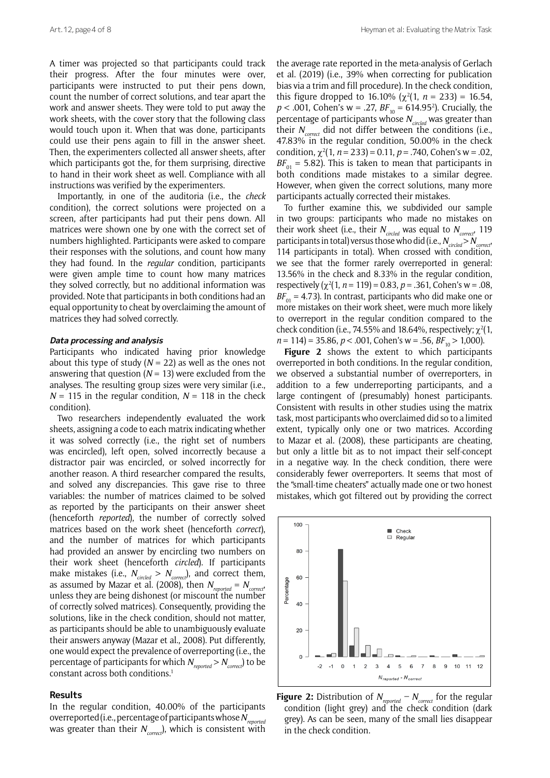A timer was projected so that participants could track their progress. After the four minutes were over, participants were instructed to put their pens down, count the number of correct solutions, and tear apart the work and answer sheets. They were told to put away the work sheets, with the cover story that the following class would touch upon it. When that was done, participants could use their pens again to fill in the answer sheet. Then, the experimenters collected all answer sheets, after which participants got the, for them surprising, directive to hand in their work sheet as well. Compliance with all instructions was verified by the experimenters.

Importantly, in one of the auditoria (i.e., the *check* condition), the correct solutions were projected on a screen, after participants had put their pens down. All matrices were shown one by one with the correct set of numbers highlighted. Participants were asked to compare their responses with the solutions, and count how many they had found. In the *regular* condition, participants were given ample time to count how many matrices they solved correctly, but no additional information was provided. Note that participants in both conditions had an equal opportunity to cheat by overclaiming the amount of matrices they had solved correctly.

#### **Data processing and analysis**

Participants who indicated having prior knowledge about this type of study  $(N = 22)$  as well as the ones not answering that question  $(N = 13)$  were excluded from the analyses. The resulting group sizes were very similar (i.e.,  $N = 115$  in the regular condition,  $N = 118$  in the check condition).

Two researchers independently evaluated the work sheets, assigning a code to each matrix indicating whether it was solved correctly (i.e., the right set of numbers was encircled), left open, solved incorrectly because a distractor pair was encircled, or solved incorrectly for another reason. A third researcher compared the results, and solved any discrepancies. This gave rise to three variables: the number of matrices claimed to be solved as reported by the participants on their answer sheet (henceforth *reported*), the number of correctly solved matrices based on the work sheet (henceforth *correct*), and the number of matrices for which participants had provided an answer by encircling two numbers on their work sheet (henceforth *circled*). If participants make mistakes (i.e.,  $N_{\text{circled}} > N_{\text{correct}}$ ), and correct them, as assumed by Mazar et al. (2008), then  $N_{reported} = N_{correct}$ unless they are being dishonest (or miscount the number of correctly solved matrices). Consequently, providing the solutions, like in the check condition, should not matter, as participants should be able to unambiguously evaluate their answers anyway (Mazar et al., 2008). Put differently, one would expect the prevalence of overreporting (i.e., the percentage of participants for which  $N_{reordered} > N_{correct}$  to be constant across both conditions.1

#### **Results**

In the regular condition, 40.00% of the participants overreported (i.e., percentage of participants whose  $N_{\text{frontec}}$ was greater than their *N<sub>correct</sub>*), which is consistent with the average rate reported in the meta-analysis of Gerlach et al. (2019) (i.e., 39% when correcting for publication bias via a trim and fill procedure). In the check condition, this figure dropped to 16.10% ( $\chi^2(1, n = 233) = 16.54$ ,  $p < .001$ , Cohen's w = .27,  $BF_{10} = 614.95^2$ ). Crucially, the percentage of participants whose  $N_{\textit{\tiny{circled}}}$  was greater than their *N<sub>correct</sub>* did not differ between the conditions (i.e., 47.83% in the regular condition, 50.00% in the check condition,  $\chi^2(1, n = 233) = 0.11$ ,  $p = .740$ , Cohen's w = .02,  $BF_{01}$  = 5.82). This is taken to mean that participants in both conditions made mistakes to a similar degree. However, when given the correct solutions, many more participants actually corrected their mistakes.

To further examine this, we subdivided our sample in two groups: participants who made no mistakes on their work sheet (i.e., their  $N_{\text{circled}}$  was equal to  $N_{\text{correct}}$ , 119 participants in total) versus those who did (i.e.,  $N_{\text{circled}} > N_{\text{correct}}$ 114 participants in total). When crossed with condition, we see that the former rarely overreported in general: 13.56% in the check and 8.33% in the regular condition,  $respectively ( \chi^2(1, n = 119) = 0.83, p = .361, Cohen's w = .08,$  $BF_{01} = 4.73$ ). In contrast, participants who did make one or more mistakes on their work sheet, were much more likely to overreport in the regular condition compared to the check condition (i.e., 74.55% and 18.64%, respectively;  $\chi^2(1, 1)$  $n = 114$ ) = 35.86,  $p < .001$ , Cohen's w = .56,  $BF_{10} > 1,000$ ).

Figure 2 shows the extent to which participants overreported in both conditions. In the regular condition, we observed a substantial number of overreporters, in addition to a few underreporting participants, and a large contingent of (presumably) honest participants. Consistent with results in other studies using the matrix task, most participants who overclaimed did so to a limited extent, typically only one or two matrices. According to Mazar et al. (2008), these participants are cheating, but only a little bit as to not impact their self-concept in a negative way. In the check condition, there were considerably fewer overreporters. It seems that most of the "small-time cheaters" actually made one or two honest mistakes, which got filtered out by providing the correct



**Figure 2:** Distribution of  $N_{reported} - N_{correct}$  for the regular condition (light grey) and the check condition (dark grey). As can be seen, many of the small lies disappear in the check condition.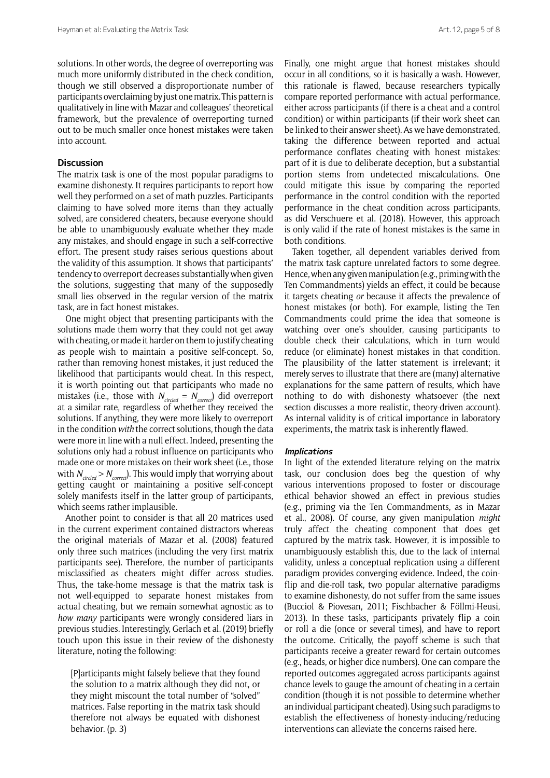solutions. In other words, the degree of overreporting was much more uniformly distributed in the check condition, though we still observed a disproportionate number of participants overclaiming by just one matrix. This pattern is qualitatively in line with Mazar and colleagues' theoretical framework, but the prevalence of overreporting turned out to be much smaller once honest mistakes were taken into account.

#### **Discussion**

The matrix task is one of the most popular paradigms to examine dishonesty. It requires participants to report how well they performed on a set of math puzzles. Participants claiming to have solved more items than they actually solved, are considered cheaters, because everyone should be able to unambiguously evaluate whether they made any mistakes, and should engage in such a self-corrective effort. The present study raises serious questions about the validity of this assumption. It shows that participants' tendency to overreport decreases substantially when given the solutions, suggesting that many of the supposedly small lies observed in the regular version of the matrix task, are in fact honest mistakes.

One might object that presenting participants with the solutions made them worry that they could not get away with cheating, or made it harder on them to justify cheating as people wish to maintain a positive self-concept. So, rather than removing honest mistakes, it just reduced the likelihood that participants would cheat. In this respect, it is worth pointing out that participants who made no mistakes (i.e., those with  $N_{\text{circled}} = N_{\text{correct}}$ ) did overreport at a similar rate, regardless of whether they received the solutions. If anything, they were more likely to overreport in the condition *with* the correct solutions, though the data were more in line with a null effect. Indeed, presenting the solutions only had a robust influence on participants who made one or more mistakes on their work sheet (i.e., those with  $N_{\text{circled}} > N_{\text{correct}}$ ). This would imply that worrying about getting caught or maintaining a positive self-concept solely manifests itself in the latter group of participants, which seems rather implausible.

Another point to consider is that all 20 matrices used in the current experiment contained distractors whereas the original materials of Mazar et al. (2008) featured only three such matrices (including the very first matrix participants see). Therefore, the number of participants misclassified as cheaters might differ across studies. Thus, the take-home message is that the matrix task is not well-equipped to separate honest mistakes from actual cheating, but we remain somewhat agnostic as to *how many* participants were wrongly considered liars in previous studies. Interestingly, Gerlach et al. (2019) briefly touch upon this issue in their review of the dishonesty literature, noting the following:

[P]articipants might falsely believe that they found the solution to a matrix although they did not, or they might miscount the total number of "solved" matrices. False reporting in the matrix task should therefore not always be equated with dishonest behavior. (p. 3)

Finally, one might argue that honest mistakes should occur in all conditions, so it is basically a wash. However, this rationale is flawed, because researchers typically compare reported performance with actual performance, either across participants (if there is a cheat and a control condition) or within participants (if their work sheet can be linked to their answer sheet). As we have demonstrated, taking the difference between reported and actual performance conflates cheating with honest mistakes: part of it is due to deliberate deception, but a substantial portion stems from undetected miscalculations. One could mitigate this issue by comparing the reported performance in the control condition with the reported performance in the cheat condition across participants, as did Verschuere et al. (2018). However, this approach is only valid if the rate of honest mistakes is the same in both conditions.

Taken together, all dependent variables derived from the matrix task capture unrelated factors to some degree. Hence, when any given manipulation (e.g., priming with the Ten Commandments) yields an effect, it could be because it targets cheating *or* because it affects the prevalence of honest mistakes (or both). For example, listing the Ten Commandments could prime the idea that someone is watching over one's shoulder, causing participants to double check their calculations, which in turn would reduce (or eliminate) honest mistakes in that condition. The plausibility of the latter statement is irrelevant; it merely serves to illustrate that there are (many) alternative explanations for the same pattern of results, which have nothing to do with dishonesty whatsoever (the next section discusses a more realistic, theory-driven account). As internal validity is of critical importance in laboratory experiments, the matrix task is inherently flawed.

#### **Implications**

In light of the extended literature relying on the matrix task, our conclusion does beg the question of why various interventions proposed to foster or discourage ethical behavior showed an effect in previous studies (e.g., priming via the Ten Commandments, as in Mazar et al., 2008). Of course, any given manipulation *might* truly affect the cheating component that does get captured by the matrix task. However, it is impossible to unambiguously establish this, due to the lack of internal validity, unless a conceptual replication using a different paradigm provides converging evidence. Indeed, the coinflip and die-roll task, two popular alternative paradigms to examine dishonesty, do not suffer from the same issues (Bucciol & Piovesan, 2011; Fischbacher & Föllmi-Heusi, 2013). In these tasks, participants privately flip a coin or roll a die (once or several times), and have to report the outcome. Critically, the payoff scheme is such that participants receive a greater reward for certain outcomes (e.g., heads, or higher dice numbers). One can compare the reported outcomes aggregated across participants against chance levels to gauge the amount of cheating in a certain condition (though it is not possible to determine whether an individual participant cheated). Using such paradigms to establish the effectiveness of honesty-inducing/reducing interventions can alleviate the concerns raised here.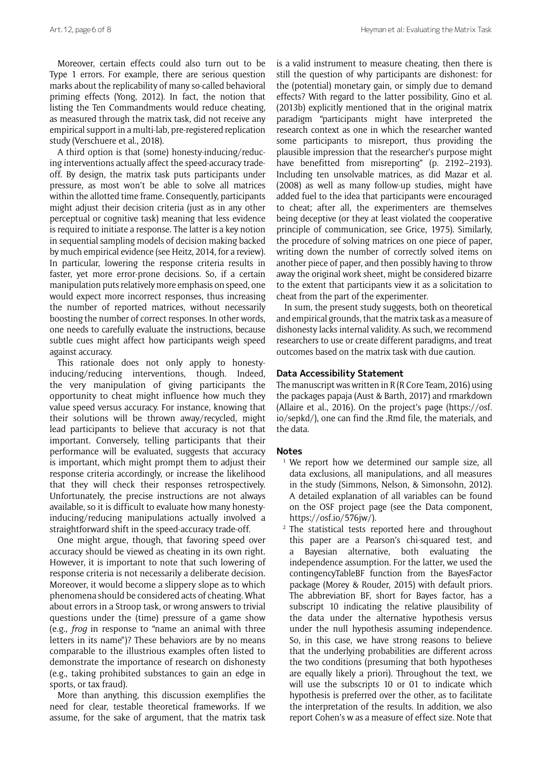Moreover, certain effects could also turn out to be Type 1 errors. For example, there are serious question marks about the replicability of many so-called behavioral priming effects (Yong, 2012). In fact, the notion that listing the Ten Commandments would reduce cheating, as measured through the matrix task, did not receive any empirical support in a multi-lab, pre-registered replication study (Verschuere et al., 2018).

A third option is that (some) honesty-inducing/reducing interventions actually affect the speed-accuracy tradeoff. By design, the matrix task puts participants under pressure, as most won't be able to solve all matrices within the allotted time frame. Consequently, participants might adjust their decision criteria (just as in any other perceptual or cognitive task) meaning that less evidence is required to initiate a response. The latter is a key notion in sequential sampling models of decision making backed by much empirical evidence (see Heitz, 2014, for a review). In particular, lowering the response criteria results in faster, yet more error-prone decisions. So, if a certain manipulation puts relatively more emphasis on speed, one would expect more incorrect responses, thus increasing the number of reported matrices, without necessarily boosting the number of correct responses. In other words, one needs to carefully evaluate the instructions, because subtle cues might affect how participants weigh speed against accuracy.

This rationale does not only apply to honestyinducing/reducing interventions, though. Indeed, the very manipulation of giving participants the opportunity to cheat might influence how much they value speed versus accuracy. For instance, knowing that their solutions will be thrown away/recycled, might lead participants to believe that accuracy is not that important. Conversely, telling participants that their performance will be evaluated, suggests that accuracy is important, which might prompt them to adjust their response criteria accordingly, or increase the likelihood that they will check their responses retrospectively. Unfortunately, the precise instructions are not always available, so it is difficult to evaluate how many honestyinducing/reducing manipulations actually involved a straightforward shift in the speed-accuracy trade-off.

One might argue, though, that favoring speed over accuracy should be viewed as cheating in its own right. However, it is important to note that such lowering of response criteria is not necessarily a deliberate decision. Moreover, it would become a slippery slope as to which phenomena should be considered acts of cheating. What about errors in a Stroop task, or wrong answers to trivial questions under the (time) pressure of a game show (e.g., *frog* in response to "name an animal with three letters in its name")? These behaviors are by no means comparable to the illustrious examples often listed to demonstrate the importance of research on dishonesty (e.g., taking prohibited substances to gain an edge in sports, or tax fraud).

More than anything, this discussion exemplifies the need for clear, testable theoretical frameworks. If we assume, for the sake of argument, that the matrix task

is a valid instrument to measure cheating, then there is still the question of why participants are dishonest: for the (potential) monetary gain, or simply due to demand effects? With regard to the latter possibility, Gino et al. (2013b) explicitly mentioned that in the original matrix paradigm "participants might have interpreted the research context as one in which the researcher wanted some participants to misreport, thus providing the plausible impression that the researcher's purpose might have benefitted from misreporting" (p. 2192–2193). Including ten unsolvable matrices, as did Mazar et al. (2008) as well as many follow-up studies, might have added fuel to the idea that participants were encouraged to cheat; after all, the experimenters are themselves being deceptive (or they at least violated the cooperative principle of communication, see Grice, 1975). Similarly, the procedure of solving matrices on one piece of paper, writing down the number of correctly solved items on another piece of paper, and then possibly having to throw away the original work sheet, might be considered bizarre to the extent that participants view it as a solicitation to cheat from the part of the experimenter.

In sum, the present study suggests, both on theoretical and empirical grounds, that the matrix task as a measure of dishonesty lacks internal validity. As such, we recommend researchers to use or create different paradigms, and treat outcomes based on the matrix task with due caution.

# **Data Accessibility Statement**

The manuscript was written in R (R Core Team, 2016) using the packages papaja (Aust & Barth, 2017) and rmarkdown (Allaire et al., 2016). On the project's page ([https://osf.](https://osf.io/sepkd/) [io/sepkd/](https://osf.io/sepkd/)), one can find the .Rmd file, the materials, and the data.

#### **Notes**

- <sup>1</sup> We report how we determined our sample size, all data exclusions, all manipulations, and all measures in the study (Simmons, Nelson, & Simonsohn, 2012). A detailed explanation of all variables can be found on the OSF project page (see the Data component, [https://osf.io/576jw/\)](https://osf.io/576jw/).
- <sup>2</sup> The statistical tests reported here and throughout this paper are a Pearson's chi-squared test, and a Bayesian alternative, both evaluating the independence assumption. For the latter, we used the contingencyTableBF function from the BayesFactor package (Morey & Rouder, 2015) with default priors. The abbreviation BF, short for Bayes factor, has a subscript 10 indicating the relative plausibility of the data under the alternative hypothesis versus under the null hypothesis assuming independence. So, in this case, we have strong reasons to believe that the underlying probabilities are different across the two conditions (presuming that both hypotheses are equally likely a priori). Throughout the text, we will use the subscripts 10 or 01 to indicate which hypothesis is preferred over the other, as to facilitate the interpretation of the results. In addition, we also report Cohen's w as a measure of effect size. Note that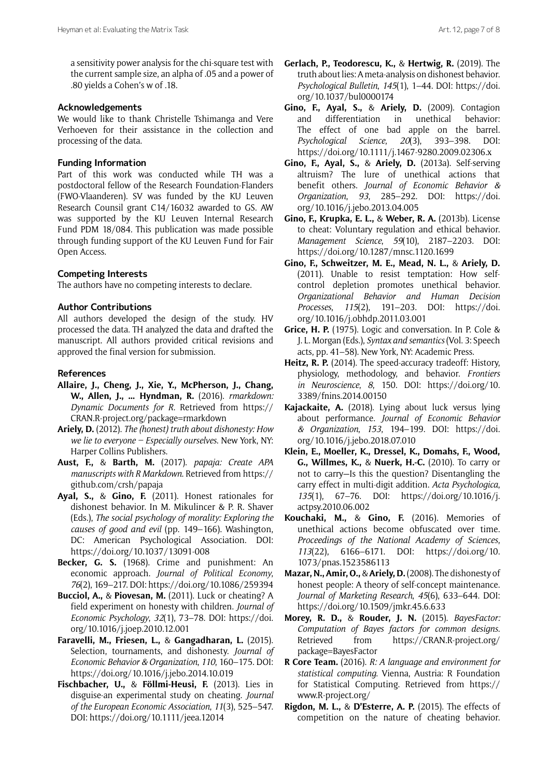a sensitivity power analysis for the chi-square test with the current sample size, an alpha of .05 and a power of .80 yields a Cohen's w of .18.

#### **Acknowledgements**

We would like to thank Christelle Tshimanga and Vere Verhoeven for their assistance in the collection and processing of the data.

#### **Funding Information**

Part of this work was conducted while TH was a postdoctoral fellow of the Research Foundation-Flanders (FWO-Vlaanderen). SV was funded by the KU Leuven Research Counsil grant C14/16032 awarded to GS. AW was supported by the KU Leuven Internal Research Fund PDM 18/084. This publication was made possible through funding support of the KU Leuven Fund for Fair Open Access.

#### **Competing Interests**

The authors have no competing interests to declare.

# **Author Contributions**

All authors developed the design of the study. HV processed the data. TH analyzed the data and drafted the manuscript. All authors provided critical revisions and approved the final version for submission.

#### **References**

- **Allaire, J., Cheng, J., Xie, Y., McPherson, J., Chang, W., Allen, J., … Hyndman, R.** (2016). *rmarkdown: Dynamic Documents for R*. Retrieved from [https://](https://CRAN.R-project.org/package=rmarkdown) [CRAN.R-project.org/package=rmarkdown](https://CRAN.R-project.org/package=rmarkdown)
- **Ariely, D.** (2012). *The (honest) truth about dishonesty: How we lie to everyone – Especially ourselves*. New York, NY: Harper Collins Publishers.
- **Aust, F.,** & **Barth, M.** (2017). *papaja: Create APA manuscripts with R Markdown*. Retrieved from [https://](https://github.com/crsh/papaja) [github.com/crsh/papaja](https://github.com/crsh/papaja)
- **Ayal, S.,** & **Gino, F.** (2011). Honest rationales for dishonest behavior. In M. Mikulincer & P. R. Shaver (Eds.), *The social psychology of morality: Exploring the causes of good and evil* (pp. 149–166). Washington, DC: American Psychological Association. DOI: <https://doi.org/10.1037/13091-008>
- **Becker, G. S.** (1968). Crime and punishment: An economic approach. *Journal of Political Economy*, *76*(2), 169–217. DOI:<https://doi.org/10.1086/259394>
- **Bucciol, A.,** & **Piovesan, M.** (2011). Luck or cheating? A field experiment on honesty with children. *Journal of Economic Psychology*, *32*(1), 73–78. DOI: [https://doi.](https://doi.org/10.1016/j.joep.2010.12.001) [org/10.1016/j.joep.2010.12.001](https://doi.org/10.1016/j.joep.2010.12.001)
- **Faravelli, M., Friesen, L.,** & **Gangadharan, L.** (2015). Selection, tournaments, and dishonesty. *Journal of Economic Behavior & Organization*, *110*, 160–175. DOI: <https://doi.org/10.1016/j.jebo.2014.10.019>
- **Fischbacher, U.,** & **Föllmi-Heusi, F.** (2013). Lies in disguise-an experimental study on cheating. *Journal of the European Economic Association*, *11*(3), 525–547. DOI:<https://doi.org/10.1111/jeea.12014>
- **Gerlach, P., Teodorescu, K.,** & **Hertwig, R.** (2019). The truth about lies: A meta-analysis on dishonest behavior. *Psychological Bulletin*, *145*(1), 1–44. DOI: [https://doi.](https://doi.org/10.1037/bul0000174) [org/10.1037/bul0000174](https://doi.org/10.1037/bul0000174)
- **Gino, F., Ayal, S.,** & **Ariely, D.** (2009). Contagion and differentiation in unethical behavior: The effect of one bad apple on the barrel. *Psychological Science*, *20*(3), 393–398. DOI: <https://doi.org/10.1111/j.1467-9280.2009.02306.x>
- **Gino, F., Ayal, S.,** & **Ariely, D.** (2013a). Self-serving altruism? The lure of unethical actions that benefit others. *Journal of Economic Behavior & Organization*, *93*, 285–292. DOI: [https://doi.](https://doi.org/10.1016/j.jebo.2013.04.005) [org/10.1016/j.jebo.2013.04.005](https://doi.org/10.1016/j.jebo.2013.04.005)
- **Gino, F., Krupka, E. L.,** & **Weber, R. A.** (2013b). License to cheat: Voluntary regulation and ethical behavior. *Management Science*, *59*(10), 2187–2203. DOI: <https://doi.org/10.1287/mnsc.1120.1699>
- **Gino, F., Schweitzer, M. E., Mead, N. L.,** & **Ariely, D.** (2011). Unable to resist temptation: How selfcontrol depletion promotes unethical behavior. *Organizational Behavior and Human Decision Processes*, *115*(2), 191–203. DOI: [https://doi.](https://doi.org/10.1016/j.obhdp.2011.03.001) [org/10.1016/j.obhdp.2011.03.001](https://doi.org/10.1016/j.obhdp.2011.03.001)
- **Grice, H. P.** (1975). Logic and conversation. In P. Cole & J. L. Morgan (Eds.), *Syntax and semantics* (Vol. 3: Speech acts, pp. 41–58). New York, NY: Academic Press.
- **Heitz, R. P.** (2014). The speed-accuracy tradeoff: History, physiology, methodology, and behavior. *Frontiers in Neuroscience*, *8*, 150. DOI: [https://doi.org/10.](https://doi.org/10.3389/fnins.2014.00150) [3389/fnins.2014.00150](https://doi.org/10.3389/fnins.2014.00150)
- **Kajackaite, A.** (2018). Lying about luck versus lying about performance. *Journal of Economic Behavior & Organization*, *153*, 194–199. DOI: [https://doi.](https://doi.org/10.1016/j.jebo.2018.07.010) [org/10.1016/j.jebo.2018.07.010](https://doi.org/10.1016/j.jebo.2018.07.010)
- **Klein, E., Moeller, K., Dressel, K., Domahs, F., Wood, G., Willmes, K.,** & **Nuerk, H.-C.** (2010). To carry or not to carry—Is this the question? Disentangling the carry effect in multi-digit addition. *Acta Psychologica*, *135*(1), 67–76. DOI: [https://doi.org/10.1016/j.](https://doi.org/10.1016/j.actpsy.2010.06.002) [actpsy.2010.06.002](https://doi.org/10.1016/j.actpsy.2010.06.002)
- **Kouchaki, M.,** & **Gino, F.** (2016). Memories of unethical actions become obfuscated over time. *Proceedings of the National Academy of Sciences*, *113*(22), 6166–6171. DOI: [https://doi.org/10.](https://doi.org/10.1073/pnas.1523586113) [1073/pnas.1523586113](https://doi.org/10.1073/pnas.1523586113)
- **Mazar, N., Amir, O.,** & **Ariely, D.** (2008). The dishonesty of honest people: A theory of self-concept maintenance. *Journal of Marketing Research*, *45*(6), 633–644. DOI: <https://doi.org/10.1509/jmkr.45.6.633>
- **Morey, R. D.,** & **Rouder, J. N.** (2015). *BayesFactor: Computation of Bayes factors for common designs*. Retrieved from [https://CRAN.R-project.org/](https://CRAN.R-project.org/package=BayesFactor) [package=BayesFactor](https://CRAN.R-project.org/package=BayesFactor)
- **R Core Team.** (2016). *R: A language and environment for statistical computing*. Vienna, Austria: R Foundation for Statistical Computing. Retrieved from [https://](https://www.R-project.org/) [www.R-project.org/](https://www.R-project.org/)
- **Rigdon, M. L.,** & **D'Esterre, A. P.** (2015). The effects of competition on the nature of cheating behavior.